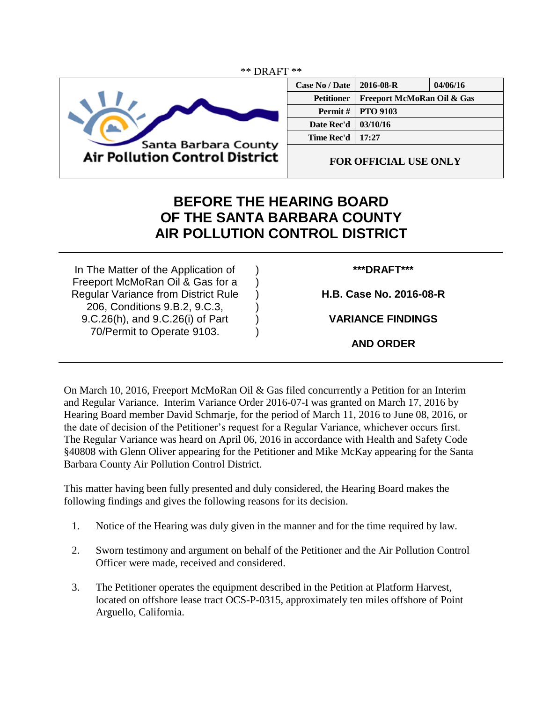

| <b>Case No / Date</b> | 2016-08-R                  | 04/06/16 |
|-----------------------|----------------------------|----------|
| <b>Petitioner</b>     | Freeport McMoRan Oil & Gas |          |
| <b>Permit</b> $\#$    | <b>PTO 9103</b>            |          |
| Date Rec'd            | 03/10/16                   |          |
| Time Rec'd            | 17:27                      |          |
|                       |                            |          |

**FOR OFFICIAL USE ONLY**

## **BEFORE THE HEARING BOARD OF THE SANTA BARBARA COUNTY AIR POLLUTION CONTROL DISTRICT**

) ) ) ) ) )

In The Matter of the Application of Freeport McMoRan Oil & Gas for a Regular Variance from District Rule 206, Conditions 9.B.2, 9.C.3, 9.C.26(h), and 9.C.26(i) of Part 70/Permit to Operate 9103.

## **\*\*\*DRAFT\*\*\***

**H.B. Case No. 2016-08-R**

**VARIANCE FINDINGS**

**AND ORDER**

On March 10, 2016, Freeport McMoRan Oil & Gas filed concurrently a Petition for an Interim and Regular Variance. Interim Variance Order 2016-07-I was granted on March 17, 2016 by Hearing Board member David Schmarje, for the period of March 11, 2016 to June 08, 2016, or the date of decision of the Petitioner's request for a Regular Variance, whichever occurs first. The Regular Variance was heard on April 06, 2016 in accordance with Health and Safety Code §40808 with Glenn Oliver appearing for the Petitioner and Mike McKay appearing for the Santa Barbara County Air Pollution Control District.

This matter having been fully presented and duly considered, the Hearing Board makes the following findings and gives the following reasons for its decision.

- 1. Notice of the Hearing was duly given in the manner and for the time required by law.
- 2. Sworn testimony and argument on behalf of the Petitioner and the Air Pollution Control Officer were made, received and considered.
- 3. The Petitioner operates the equipment described in the Petition at Platform Harvest, located on offshore lease tract OCS-P-0315, approximately ten miles offshore of Point Arguello, California.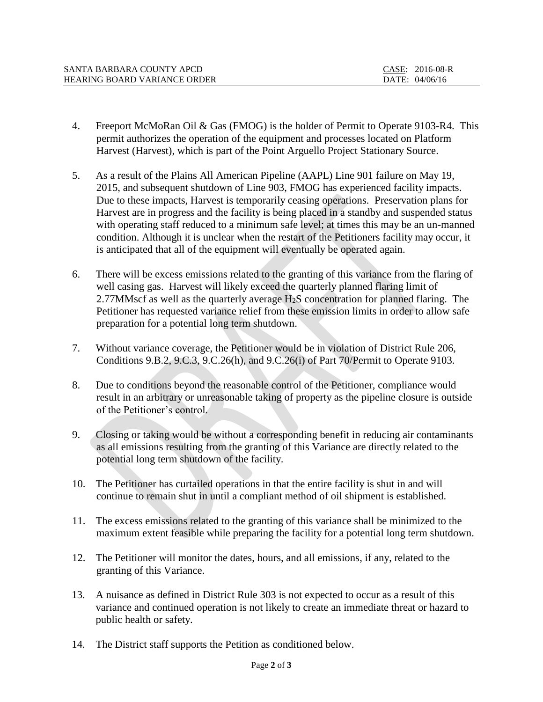| SANTA BARBARA COUNTY APCD           | CASE: 2016-08-R |
|-------------------------------------|-----------------|
| <b>HEARING BOARD VARIANCE ORDER</b> | DATE: 04/06/16  |

- 4. Freeport McMoRan Oil & Gas (FMOG) is the holder of Permit to Operate 9103-R4. This permit authorizes the operation of the equipment and processes located on Platform Harvest (Harvest), which is part of the Point Arguello Project Stationary Source.
- 5. As a result of the Plains All American Pipeline (AAPL) Line 901 failure on May 19, 2015, and subsequent shutdown of Line 903, FMOG has experienced facility impacts. Due to these impacts, Harvest is temporarily ceasing operations. Preservation plans for Harvest are in progress and the facility is being placed in a standby and suspended status with operating staff reduced to a minimum safe level; at times this may be an un-manned condition. Although it is unclear when the restart of the Petitioners facility may occur, it is anticipated that all of the equipment will eventually be operated again.
- 6. There will be excess emissions related to the granting of this variance from the flaring of well casing gas. Harvest will likely exceed the quarterly planned flaring limit of 2.77MMscf as well as the quarterly average H2S concentration for planned flaring. The Petitioner has requested variance relief from these emission limits in order to allow safe preparation for a potential long term shutdown.
- 7. Without variance coverage, the Petitioner would be in violation of District Rule 206, Conditions 9.B.2, 9.C.3, 9.C.26(h), and 9.C.26(i) of Part 70/Permit to Operate 9103.
- 8. Due to conditions beyond the reasonable control of the Petitioner, compliance would result in an arbitrary or unreasonable taking of property as the pipeline closure is outside of the Petitioner's control.
- 9. Closing or taking would be without a corresponding benefit in reducing air contaminants as all emissions resulting from the granting of this Variance are directly related to the potential long term shutdown of the facility.
- 10. The Petitioner has curtailed operations in that the entire facility is shut in and will continue to remain shut in until a compliant method of oil shipment is established.
- 11. The excess emissions related to the granting of this variance shall be minimized to the maximum extent feasible while preparing the facility for a potential long term shutdown.
- 12. The Petitioner will monitor the dates, hours, and all emissions, if any, related to the granting of this Variance.
- 13. A nuisance as defined in District Rule 303 is not expected to occur as a result of this variance and continued operation is not likely to create an immediate threat or hazard to public health or safety.
- 14. The District staff supports the Petition as conditioned below.